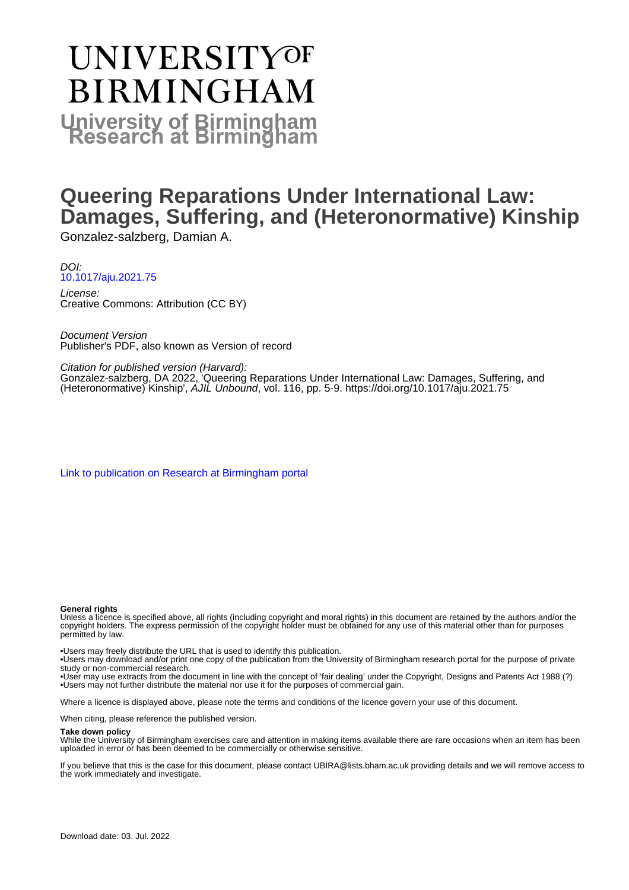# **UNIVERSITYOF BIRMINGHAM University of Birmingham**

# **Queering Reparations Under International Law: Damages, Suffering, and (Heteronormative) Kinship**

Gonzalez-salzberg, Damian A.

DOI: [10.1017/aju.2021.75](https://doi.org/10.1017/aju.2021.75)

License: Creative Commons: Attribution (CC BY)

Document Version Publisher's PDF, also known as Version of record

Citation for published version (Harvard): Gonzalez-salzberg, DA 2022, 'Queering Reparations Under International Law: Damages, Suffering, and (Heteronormative) Kinship', AJIL Unbound, vol. 116, pp. 5-9. <https://doi.org/10.1017/aju.2021.75>

[Link to publication on Research at Birmingham portal](https://birmingham.elsevierpure.com/en/publications/161bbf87-9b55-49b5-bd70-cc11ff826886)

#### **General rights**

Unless a licence is specified above, all rights (including copyright and moral rights) in this document are retained by the authors and/or the copyright holders. The express permission of the copyright holder must be obtained for any use of this material other than for purposes permitted by law.

• Users may freely distribute the URL that is used to identify this publication.

• Users may download and/or print one copy of the publication from the University of Birmingham research portal for the purpose of private study or non-commercial research.

• User may use extracts from the document in line with the concept of 'fair dealing' under the Copyright, Designs and Patents Act 1988 (?) • Users may not further distribute the material nor use it for the purposes of commercial gain.

Where a licence is displayed above, please note the terms and conditions of the licence govern your use of this document.

When citing, please reference the published version.

### **Take down policy**

While the University of Birmingham exercises care and attention in making items available there are rare occasions when an item has been uploaded in error or has been deemed to be commercially or otherwise sensitive.

If you believe that this is the case for this document, please contact UBIRA@lists.bham.ac.uk providing details and we will remove access to the work immediately and investigate.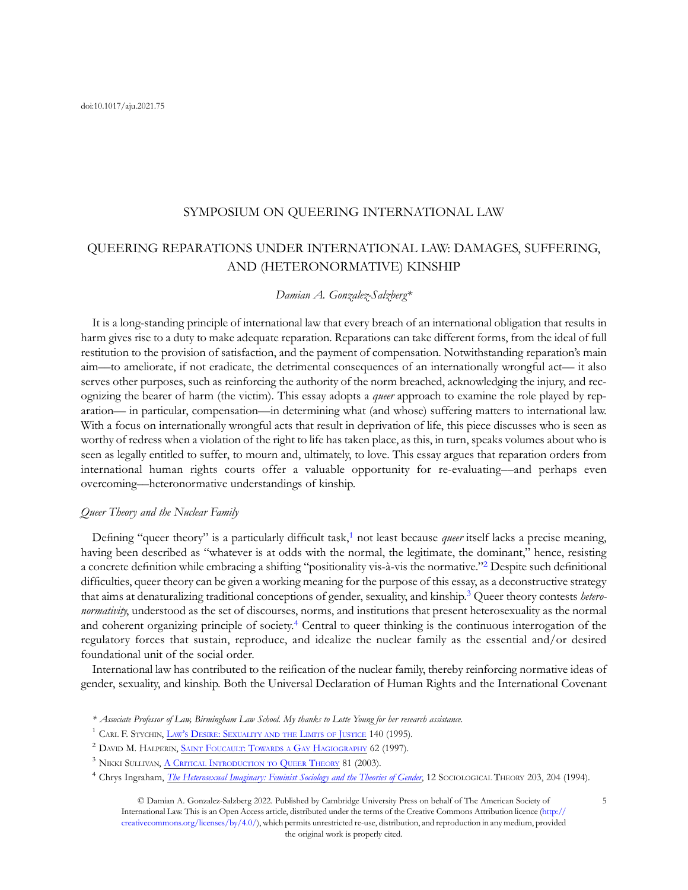# SYMPOSIUM ON QUEERING INTERNATIONAL LAW

# QUEERING REPARATIONS UNDER INTERNATIONAL LAW: DAMAGES, SUFFERING, AND (HETERONORMATIVE) KINSHIP

# Damian A. Gonzalez-Salzberg\*

It is a long-standing principle of international law that every breach of an international obligation that results in harm gives rise to a duty to make adequate reparation. Reparations can take different forms, from the ideal of full restitution to the provision of satisfaction, and the payment of compensation. Notwithstanding reparation's main aim––to ameliorate, if not eradicate, the detrimental consequences of an internationally wrongful act–– it also serves other purposes, such as reinforcing the authority of the norm breached, acknowledging the injury, and recognizing the bearer of harm (the victim). This essay adopts a *queer* approach to examine the role played by reparation–– in particular, compensation––in determining what (and whose) suffering matters to international law. With a focus on internationally wrongful acts that result in deprivation of life, this piece discusses who is seen as worthy of redress when a violation of the right to life has taken place, as this, in turn, speaks volumes about who is seen as legally entitled to suffer, to mourn and, ultimately, to love. This essay argues that reparation orders from international human rights courts offer a valuable opportunity for re-evaluating––and perhaps even overcoming––heteronormative understandings of kinship.

#### Queer Theory and the Nuclear Family

Defining "queer theory" is a particularly difficult task,<sup>1</sup> not least because *queer* itself lacks a precise meaning, having been described as "whatever is at odds with the normal, the legitimate, the dominant," hence, resisting a concrete definition while embracing a shifting "positionality vis-à-vis the normative."<sup>2</sup> Despite such definitional difficulties, queer theory can be given a working meaning for the purpose of this essay, as a deconstructive strategy that aims at denaturalizing traditional conceptions of gender, sexuality, and kinship.<sup>3</sup> Queer theory contests *hetero*normativity, understood as the set of discourses, norms, and institutions that present heterosexuality as the normal and coherent organizing principle of society.<sup>4</sup> Central to queer thinking is the continuous interrogation of the regulatory forces that sustain, reproduce, and idealize the nuclear family as the essential and/or desired foundational unit of the social order.

International law has contributed to the reification of the nuclear family, thereby reinforcing normative ideas of gender, sexuality, and kinship. Both the Universal Declaration of Human Rights and the International Covenant

© Damian A. Gonzalez-Salzberg 2022. Published by Cambridge University Press on behalf of The American Society of International Law. This is an Open Access article, distributed under the terms of the Creative Commons Attribution licence ([http://](http://creativecommons.org/licenses/by/4.0/) [creativecommons.org/licenses/by/4.0/\)](http://creativecommons.org/licenses/by/4.0/), which permits unrestricted re-use, distribution, and reproduction in any medium, provided the original work is properly cited.

<sup>\*</sup> Associate Professor of Law, Birmingham Law School. My thanks to Lotte Young for her research assistance.

<sup>&</sup>lt;sup>1</sup> CARL F. STYCHIN, LAW'S [DESIRE: SEXUALITY AND THE](https://www.routledge.com/Laws-Desire-Sexuality-And-The-Limits-Of-Justice/Stychin/p/book/9780415111270) LIMITS OF JUSTICE 140 (1995).

<sup>&</sup>lt;sup>2</sup> DAVID M. HALPERIN, SAINT [FOUCAULT: TOWARDS A](https://global.oup.com/academic/product/saint-foucault-9780195111279?sortField=7&facet_narrowbyprice_facet=15to25&lang=en&cc=be) GAY HAGIOGRAPHY 62 (1997).

<sup>&</sup>lt;sup>3</sup> NIKKI SULLIVAN, A CRITICAL [INTRODUCTION TO](https://nyupress.org/9780814798416/a-critical-introduction-to-queer-theory/) QUEER THEORY 81 (2003).

<sup>&</sup>lt;sup>4</sup> Chrys Ingraham, *[The Heterosexual Imaginary: Feminist Sociology and the Theories of Gender](https://www.jstor.org/stable/201865)*, 12 SOCIOLOGICAL THEORY 203, 204 (1994).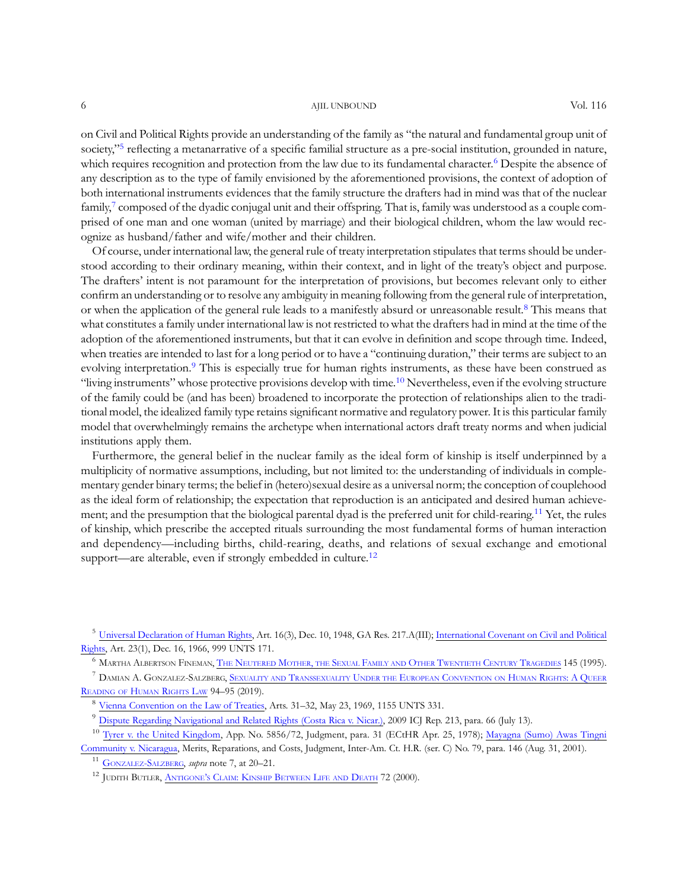### 6 AJIL UNBOUND AND SOL 116

on Civil and Political Rights provide an understanding of the family as "the natural and fundamental group unit of society,"<sup>5</sup> reflecting a metanarrative of a specific familial structure as a pre-social institution, grounded in nature, which requires recognition and protection from the law due to its fundamental character.<sup>6</sup> Despite the absence of any description as to the type of family envisioned by the aforementioned provisions, the context of adoption of both international instruments evidences that the family structure the drafters had in mind was that of the nuclear family,<sup>7</sup> composed of the dyadic conjugal unit and their offspring. That is, family was understood as a couple comprised of one man and one woman (united by marriage) and their biological children, whom the law would recognize as husband/father and wife/mother and their children.

Of course, under international law, the general rule of treaty interpretation stipulates that terms should be understood according to their ordinary meaning, within their context, and in light of the treaty's object and purpose. The drafters' intent is not paramount for the interpretation of provisions, but becomes relevant only to either confirm an understanding or to resolve any ambiguity in meaning following from the general rule of interpretation, or when the application of the general rule leads to a manifestly absurd or unreasonable result.<sup>8</sup> This means that what constitutes a family under international law is not restricted to what the drafters had in mind at the time of the adoption of the aforementioned instruments, but that it can evolve in definition and scope through time. Indeed, when treaties are intended to last for a long period or to have a "continuing duration," their terms are subject to an evolving interpretation.<sup>9</sup> This is especially true for human rights instruments, as these have been construed as "living instruments" whose protective provisions develop with time.<sup>10</sup> Nevertheless, even if the evolving structure of the family could be (and has been) broadened to incorporate the protection of relationships alien to the traditional model, the idealized family type retains significant normative and regulatory power. It is this particular family model that overwhelmingly remains the archetype when international actors draft treaty norms and when judicial institutions apply them.

Furthermore, the general belief in the nuclear family as the ideal form of kinship is itself underpinned by a multiplicity of normative assumptions, including, but not limited to: the understanding of individuals in complementary gender binary terms; the belief in (hetero)sexual desire as a universal norm; the conception of couplehood as the ideal form of relationship; the expectation that reproduction is an anticipated and desired human achievement; and the presumption that the biological parental dyad is the preferred unit for child-rearing.<sup>11</sup> Yet, the rules of kinship, which prescribe the accepted rituals surrounding the most fundamental forms of human interaction and dependency––including births, child-rearing, deaths, and relations of sexual exchange and emotional support—are alterable, even if strongly embedded in culture.<sup>12</sup>

<sup>6</sup> MARTHA ALBERTSON FINEMAN, THE NEUTERED MOTHER, THE SEXUAL [FAMILY AND](https://www.routledge.com/The-Neutered-Mother-The-Sexual-Family-and-Other-Twentieth-Century-Tragedies/Fineman/p/book/9780415910279) OTHER TWENTIETH CENTURY TRAGEDIES 145 (1995).

 $^7$  Damian A. Gonzalez-Salzberg, Sexuality and Transsexuality Under the European Convention on Human Rights: A Queer [READING OF](https://www.bloomsbury.com/us/sexuality-and-transsexuality-under-the-european-convention-on-human-rights-9781509914944/) HUMAN RIGHTS LAW 94–95 (2019).

<sup>5</sup> [Universal Declaration of Human Rights](https://www.un.org/en/about-us/universal-declaration-of-human-rights), Art. 16(3), Dec. 10, 1948, GA Res. 217.A(III); [International Covenant on Civil and Political](https://www.ohchr.org/en/professionalinterest/pages/ccpr.aspx) [Rights,](https://www.ohchr.org/en/professionalinterest/pages/ccpr.aspx) Art. 23(1), Dec. 16, 1966, 999 UNTS 171.

<sup>8</sup> [Vienna Convention on the Law of Treaties,](https://legal.un.org/ilc/texts/instruments/english/conventions/1_1_1969.pdf) Arts. 31–32, May 23, 1969, 1155 UNTS 331.

<sup>9</sup> [Dispute Regarding Navigational and Related Rights \(Costa Rica v. Nicar.\),](https://www.icj-cij.org/public/files/case-related/133/133-20090713-JUD-01-00-EN.pdf) 2009 ICJ Rep. 213, para. 66 (July 13).

<sup>&</sup>lt;sup>10</sup> [Tyrer v. the United Kingdom](https://hudoc.echr.coe.int/eng#{%22itemid%22:[%22001-57587%22]}), App. No. 5856/72, Judgment, para. 31 (ECtHR Apr. 25, 1978); [Mayagna \(Sumo\) Awas Tingni](https://www.corteidh.or.cr/docs/casos/articulos/seriec_79_ing.pdf) [Community v. Nicaragua,](https://www.corteidh.or.cr/docs/casos/articulos/seriec_79_ing.pdf) Merits, Reparations, and Costs, Judgment, Inter-Am. Ct. H.R. (ser. C) No. 79, para. 146 (Aug. 31, 2001).

<sup>&</sup>lt;sup>11</sup> [GONZALEZ-SALZBERG,](https://www.bloomsbury.com/us/sexuality-and-transsexuality-under-the-european-convention-on-human-rights-9781509914944/) supra note 7, at 20–21.

<sup>&</sup>lt;sup>12</sup> JUDITH BUTLER, ANTIGONE'S [CLAIM: KINSHIP](http://cup.columbia.edu/book/antigones-claim/9780231118958) BETWEEN LIFE AND DEATH 72 (2000).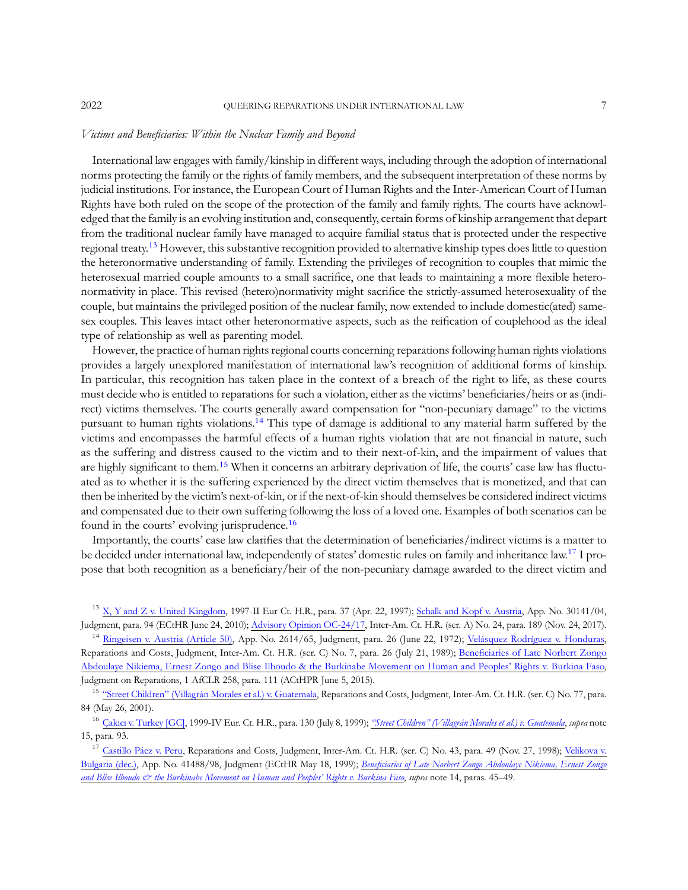#### Victims and Beneficiaries: Within the Nuclear Family and Beyond

International law engages with family/kinship in different ways, including through the adoption of international norms protecting the family or the rights of family members, and the subsequent interpretation of these norms by judicial institutions. For instance, the European Court of Human Rights and the Inter-American Court of Human Rights have both ruled on the scope of the protection of the family and family rights. The courts have acknowledged that the family is an evolving institution and, consequently, certain forms of kinship arrangement that depart from the traditional nuclear family have managed to acquire familial status that is protected under the respective regional treaty.<sup>13</sup> However, this substantive recognition provided to alternative kinship types does little to question the heteronormative understanding of family. Extending the privileges of recognition to couples that mimic the heterosexual married couple amounts to a small sacrifice, one that leads to maintaining a more flexible heteronormativity in place. This revised (hetero)normativity might sacrifice the strictly-assumed heterosexuality of the couple, but maintains the privileged position of the nuclear family, now extended to include domestic(ated) samesex couples. This leaves intact other heteronormative aspects, such as the reification of couplehood as the ideal type of relationship as well as parenting model.

However, the practice of human rights regional courts concerning reparations following human rights violations provides a largely unexplored manifestation of international law's recognition of additional forms of kinship. In particular, this recognition has taken place in the context of a breach of the right to life, as these courts must decide who is entitled to reparations for such a violation, either as the victims' beneficiaries/heirs or as (indirect) victims themselves. The courts generally award compensation for "non-pecuniary damage" to the victims pursuant to human rights violations.<sup>14</sup> This type of damage is additional to any material harm suffered by the victims and encompasses the harmful effects of a human rights violation that are not financial in nature, such as the suffering and distress caused to the victim and to their next-of-kin, and the impairment of values that are highly significant to them.<sup>15</sup> When it concerns an arbitrary deprivation of life, the courts' case law has fluctuated as to whether it is the suffering experienced by the direct victim themselves that is monetized, and that can then be inherited by the victim's next-of-kin, or if the next-of-kin should themselves be considered indirect victims and compensated due to their own suffering following the loss of a loved one. Examples of both scenarios can be found in the courts' evolving jurisprudence.16

Importantly, the courts' case law clarifies that the determination of beneficiaries/indirect victims is a matter to be decided under international law, independently of states' domestic rules on family and inheritance law.<sup>17</sup> I propose that both recognition as a beneficiary/heir of the non-pecuniary damage awarded to the direct victim and

<sup>13</sup> [X, Y and Z v. United Kingdom,](https://hudoc.echr.coe.int/eng?i=001-58032) 1997-II Eur Ct. H.R., para. 37 (Apr. 22, 1997); [Schalk and Kopf v. Austria,](https://hudoc.echr.coe.int/eng?i=001-99605) App. No. 30141/04, Judgment, para. 94 (ECtHR June 24, 2010); [Advisory Opinion OC-24/17,](https://www.corteidh.or.cr/docs/opiniones/seriea_24_eng.pdf) Inter-Am. Ct. H.R. (ser. A) No. 24, para. 189 (Nov. 24, 2017).

<sup>14</sup> [Ringeisen v. Austria \(Article 50\),](https://hudoc.echr.coe.int/eng?i=001-57566) App. No. 2614/65, Judgment, para. 26 (June 22, 1972); [Velásquez Rodríguez v. Honduras](https://www.corteidh.or.cr/docs/casos/articulos/seriec_07_ing.pdf), Reparations and Costs, Judgment, Inter-Am. Ct. H.R. (ser. C) No. 7, para. 26 (July 21, 1989); Benefi[ciaries of Late Norbert Zongo](https://www.african-court.org/cpmt/storage/app/uploads/public/5f5/5d2/db8/5f55d2db8c3ee953263790.pdf) [Abdoulaye Nikiema, Ernest Zongo and Blise Ilboudo & the Burkinabe Movement on Human and Peoples](https://www.african-court.org/cpmt/storage/app/uploads/public/5f5/5d2/db8/5f55d2db8c3ee953263790.pdf)' Rights v. Burkina Faso, Judgment on Reparations, 1 AfCLR 258, para. 111 (ACtHPR June 5, 2015).

<sup>15</sup> "Street Children" [\(Villagrán Morales et al.\) v. Guatemala,](https://www.corteidh.or.cr/docs/casos/articulos/seriec_77_ing.pdf) Reparations and Costs, Judgment, Inter-Am. Ct. H.R. (ser. C) No. 77, para. 84 (May 26, 2001).

<sup>16</sup> Çakıcı [v. Turkey \[GC\],](http://hudoc.echr.coe.int/eng?i=001-58282) 1999-IV Eur. Ct. H.R., para. 130 (July 8, 1999); "Street Children" [\(Villagrán Morales et al.\) v. Guatemala](https://www.corteidh.or.cr/docs/casos/articulos/seriec_77_ing.pdf), supra note 15, para. 93.

<sup>17</sup> [Castillo Páez v. Peru,](https://www.corteidh.or.cr/docs/casos/articulos/seriec_43_ing.pdf) Reparations and Costs, Judgment, Inter-Am. Ct. H.R. (ser. C) No. 43, para. 49 (Nov. 27, 1998); [Velikova v.](http://hudoc.echr.coe.int/eng?i=001-22264) [Bulgaria \(dec.\),](http://hudoc.echr.coe.int/eng?i=001-22264) App. No. 41488/98, Judgment (ECtHR May 18, 1999); Benefi[ciaries of Late Norbert Zongo Abdoulaye Nikiema, Ernest Zongo](https://www.african-court.org/cpmt/storage/app/uploads/public/5f5/5d2/db8/5f55d2db8c3ee953263790.pdf) [and Blise Ilboudo & the Burkinabe Movement on Human and Peoples](https://www.african-court.org/cpmt/storage/app/uploads/public/5f5/5d2/db8/5f55d2db8c3ee953263790.pdf)' Rights v. Burkina Faso, supra note 14, paras. 45–49.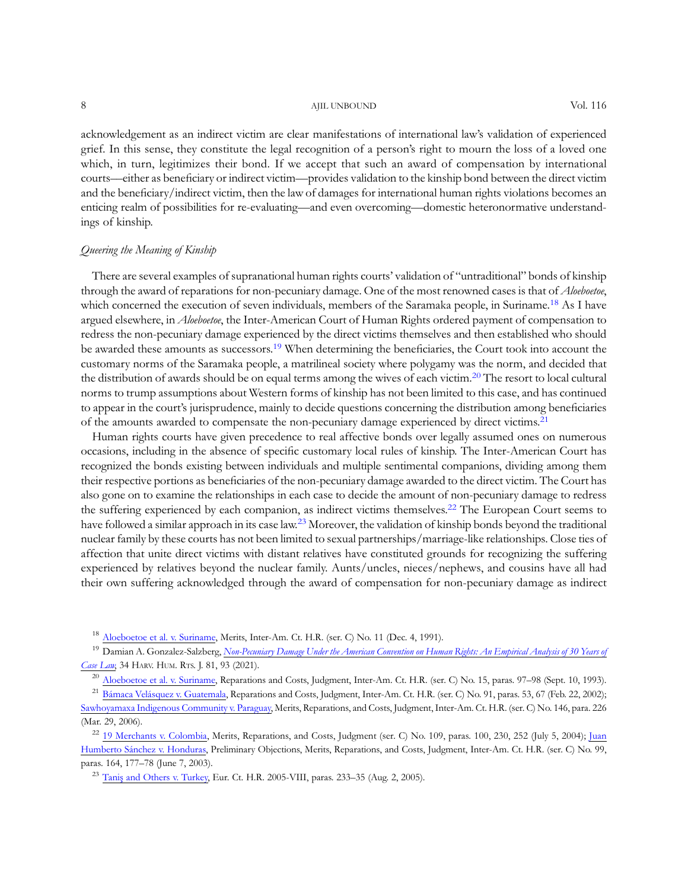8 AJIL UNBOUND AND UNBOUND Vol. 116

acknowledgement as an indirect victim are clear manifestations of international law's validation of experienced grief. In this sense, they constitute the legal recognition of a person's right to mourn the loss of a loved one which, in turn, legitimizes their bond. If we accept that such an award of compensation by international courts––either as beneficiary or indirect victim––provides validation to the kinship bond between the direct victim and the beneficiary/indirect victim, then the law of damages for international human rights violations becomes an enticing realm of possibilities for re-evaluating––and even overcoming––domestic heteronormative understandings of kinship.

## Queering the Meaning of Kinship

There are several examples of supranational human rights courts' validation of "untraditional" bonds of kinship through the award of reparations for non-pecuniary damage. One of the most renowned cases is that of *Aloeboetoe*, which concerned the execution of seven individuals, members of the Saramaka people, in Suriname.<sup>18</sup> As I have argued elsewhere, in *Aloeboetoe*, the Inter-American Court of Human Rights ordered payment of compensation to redress the non-pecuniary damage experienced by the direct victims themselves and then established who should be awarded these amounts as successors.19 When determining the beneficiaries, the Court took into account the customary norms of the Saramaka people, a matrilineal society where polygamy was the norm, and decided that the distribution of awards should be on equal terms among the wives of each victim.<sup>20</sup> The resort to local cultural norms to trump assumptions about Western forms of kinship has not been limited to this case, and has continued to appear in the court's jurisprudence, mainly to decide questions concerning the distribution among beneficiaries of the amounts awarded to compensate the non-pecuniary damage experienced by direct victims.<sup>21</sup>

Human rights courts have given precedence to real affective bonds over legally assumed ones on numerous occasions, including in the absence of specific customary local rules of kinship. The Inter-American Court has recognized the bonds existing between individuals and multiple sentimental companions, dividing among them their respective portions as beneficiaries of the non-pecuniary damage awarded to the direct victim. The Court has also gone on to examine the relationships in each case to decide the amount of non-pecuniary damage to redress the suffering experienced by each companion, as indirect victims themselves.<sup>22</sup> The European Court seems to have followed a similar approach in its case law.23 Moreover, the validation of kinship bonds beyond the traditional nuclear family by these courts has not been limited to sexual partnerships/marriage-like relationships. Close ties of affection that unite direct victims with distant relatives have constituted grounds for recognizing the suffering experienced by relatives beyond the nuclear family. Aunts/uncles, nieces/nephews, and cousins have all had their own suffering acknowledged through the award of compensation for non-pecuniary damage as indirect

[Aloeboetoe et al. v. Suriname,](https://www.corteidh.or.cr/docs/casos/articulos/seriec_11_ing.pdf) Merits, Inter-Am. Ct. H.R. (ser. C) No. 11 (Dec. 4, 1991).

<sup>19</sup> Damian A. Gonzalez-Salzberg, [Non-Pecuniary Damage Under the American Convention on Human Rights: An Empirical Analysis of 30 Years of](https://harvardhrj.com/wp-content/uploads/sites/14/2021/05/34HHRJ81-Salzberg.pdf) [Case Law](https://harvardhrj.com/wp-content/uploads/sites/14/2021/05/34HHRJ81-Salzberg.pdf), 34 HARV. HUM. RTS. J. 81, 93 (2021).

<sup>20</sup> [Aloeboetoe et al. v. Suriname,](https://www.corteidh.or.cr/docs/casos/articulos/seriec_15_ing.pdf) Reparations and Costs, Judgment, Inter-Am. Ct. H.R. (ser. C) No. 15, paras. 97–98 (Sept. 10, 1993).

<sup>23</sup> Tanis [and Others v. Turkey,](https://hudoc.echr.coe.int/eng?i=001-70021) Eur. Ct. H.R. 2005-VIII, paras. 233-35 (Aug. 2, 2005).

<sup>&</sup>lt;sup>21</sup> [Bámaca Velásquez v. Guatemala](https://www.corteidh.or.cr/docs/casos/articulos/Seriec_91_ing.pdf), Reparations and Costs, Judgment, Inter-Am. Ct. H.R. (ser. C) No. 91, paras. 53, 67 (Feb. 22, 2002); [Sawhoyamaxa Indigenous Community v. Paraguay,](https://www.corteidh.or.cr/docs/casos/articulos/seriec_146_ing.pdf) Merits, Reparations, and Costs, Judgment, Inter-Am. Ct. H.R. (ser. C) No. 146, para. 226 (Mar. 29, 2006).

<sup>&</sup>lt;sup>22</sup> [19 Merchants v. Colombia](https://www.corteidh.or.cr/docs/casos/articulos/seriec_109_ing.pdf), Merits, Reparations, and Costs, Judgment (ser. C) No. 109, paras. 100, 230, 252 (July 5, 2004); [Juan](https://www.corteidh.or.cr/docs/casos/articulos/seriec_99_ing.pdf) [Humberto Sánchez v. Honduras](https://www.corteidh.or.cr/docs/casos/articulos/seriec_99_ing.pdf), Preliminary Objections, Merits, Reparations, and Costs, Judgment, Inter-Am. Ct. H.R. (ser. C) No. 99, paras. 164, 177–78 (June 7, 2003).